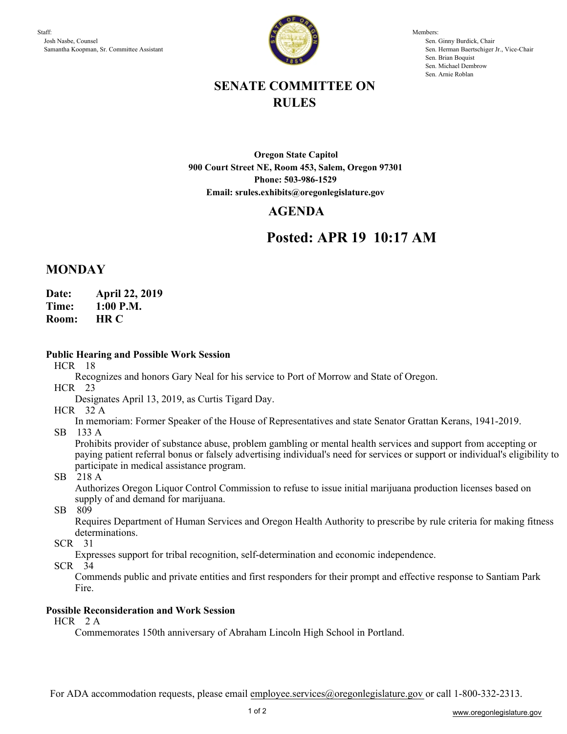

Members: Sen. Ginny Burdick, Chair Sen. Herman Baertschiger Jr., Vice-Chair Sen. Brian Boquist Sen. Michael Dembrow Sen. Arnie Roblan

# **SENATE COMMITTEE ON RULES**

**Oregon State Capitol 900 Court Street NE, Room 453, Salem, Oregon 97301 Phone: 503-986-1529 Email: srules.exhibits@oregonlegislature.gov**

## **AGENDA**

# **Posted: APR 19 10:17 AM**

## **MONDAY**

**Date: April 22, 2019**

**Time: 1:00 P.M.**

**HR C Room:** 

## **Public Hearing and Possible Work Session**

HCR 18

Recognizes and honors Gary Neal for his service to Port of Morrow and State of Oregon.

HCR 23

Designates April 13, 2019, as Curtis Tigard Day.

HCR 32 A

In memoriam: Former Speaker of the House of Representatives and state Senator Grattan Kerans, 1941-2019.

SB 133 A

Prohibits provider of substance abuse, problem gambling or mental health services and support from accepting or paying patient referral bonus or falsely advertising individual's need for services or support or individual's eligibility to participate in medical assistance program.

### SB 218 A

Authorizes Oregon Liquor Control Commission to refuse to issue initial marijuana production licenses based on supply of and demand for marijuana.

SB 809

Requires Department of Human Services and Oregon Health Authority to prescribe by rule criteria for making fitness determinations.

SCR 31

Expresses support for tribal recognition, self-determination and economic independence.

SCR 34

Commends public and private entities and first responders for their prompt and effective response to Santiam Park Fire.

### **Possible Reconsideration and Work Session**

HCR 2 A

Commemorates 150th anniversary of Abraham Lincoln High School in Portland.

For ADA accommodation requests, please email employee.services@oregonlegislature.gov or call 1-800-332-2313.